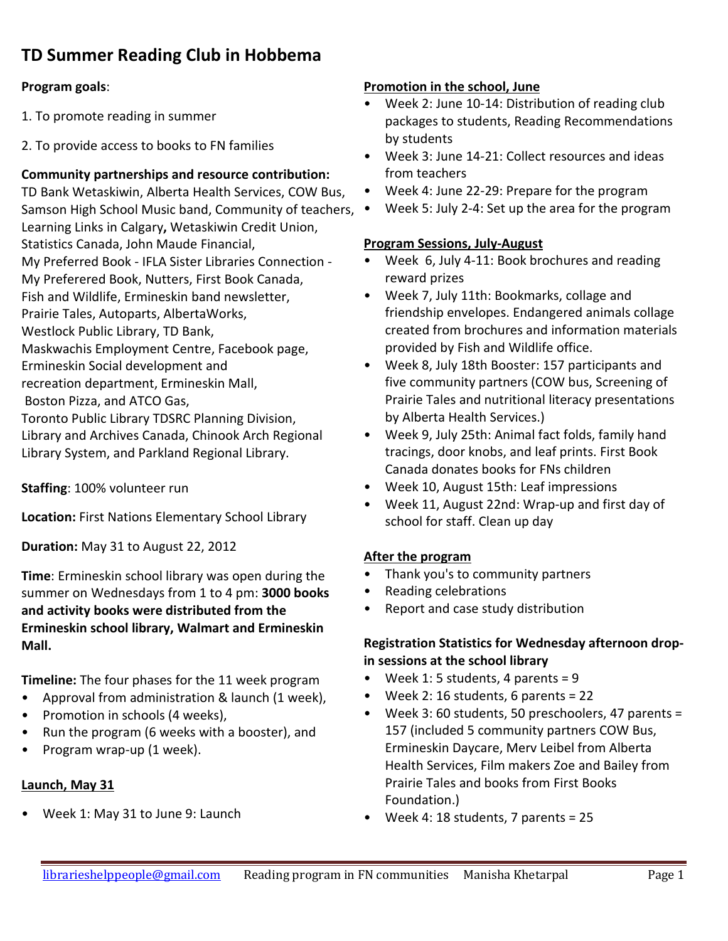# **TD Summer Reading Club in Hobbema**

#### **Program goals**:

- 1. To promote reading in summer
- 2. To provide access to books to FN families

#### **Community partnerships and resource contribution:**

TD Bank Wetaskiwin, Alberta Health Services, COW Bus, Samson High School Music band, Community of teachers, Learning Links in Calgary**,** Wetaskiwin Credit Union, Statistics Canada, John Maude Financial, My Preferred Book - IFLA Sister Libraries Connection - My Preferered Book, Nutters, First Book Canada, Fish and Wildlife, Ermineskin band newsletter, Prairie Tales, Autoparts, AlbertaWorks, Westlock Public Library, TD Bank, Maskwachis Employment Centre, Facebook page, Ermineskin Social development and recreation department, Ermineskin Mall, Boston Pizza, and ATCO Gas, Toronto Public Library TDSRC Planning Division, Library and Archives Canada, Chinook Arch Regional Library System, and Parkland Regional Library.

**Staffing**: 100% volunteer run

**Location:** First Nations Elementary School Library

**Duration:** May 31 to August 22, 2012

**Time**: Ermineskin school library was open during the summer on Wednesdays from 1 to 4 pm: **3000 books and activity books were distributed from the Ermineskin school library, Walmart and Ermineskin Mall.**

**Timeline:** The four phases for the 11 week program

- Approval from administration & launch (1 week),
- Promotion in schools (4 weeks),
- Run the program (6 weeks with a booster), and
- Program wrap-up (1 week).

#### **Launch, May 31**

• Week 1: May 31 to June 9: Launch

#### **Promotion in the school, June**

- Week 2: June 10-14: Distribution of reading club packages to students, Reading Recommendations by students
- Week 3: June 14-21: Collect resources and ideas from teachers
- Week 4: June 22-29: Prepare for the program
- Week 5: July 2-4: Set up the area for the program

#### **Program Sessions, July-August**

- Week 6, July 4-11: Book brochures and reading reward prizes
- Week 7, July 11th: Bookmarks, collage and friendship envelopes. Endangered animals collage created from brochures and information materials provided by Fish and Wildlife office.
- Week 8, July 18th Booster: 157 participants and five community partners (COW bus, Screening of Prairie Tales and nutritional literacy presentations by Alberta Health Services.)
- Week 9, July 25th: Animal fact folds, family hand tracings, door knobs, and leaf prints. First Book Canada donates books for FNs children
- Week 10, August 15th: Leaf impressions
- Week 11, August 22nd: Wrap-up and first day of school for staff. Clean up day

#### **After the program**

- Thank you's to community partners
- Reading celebrations
- Report and case study distribution

#### **Registration Statistics for Wednesday afternoon dropin sessions at the school library**

- Week 1: 5 students, 4 parents =  $9$
- Week 2: 16 students, 6 parents = 22
- Week 3: 60 students, 50 preschoolers, 47 parents = 157 (included 5 community partners COW Bus, Ermineskin Daycare, Merv Leibel from Alberta Health Services, Film makers Zoe and Bailey from Prairie Tales and books from First Books Foundation.)
- Week 4: 18 students, 7 parents = 25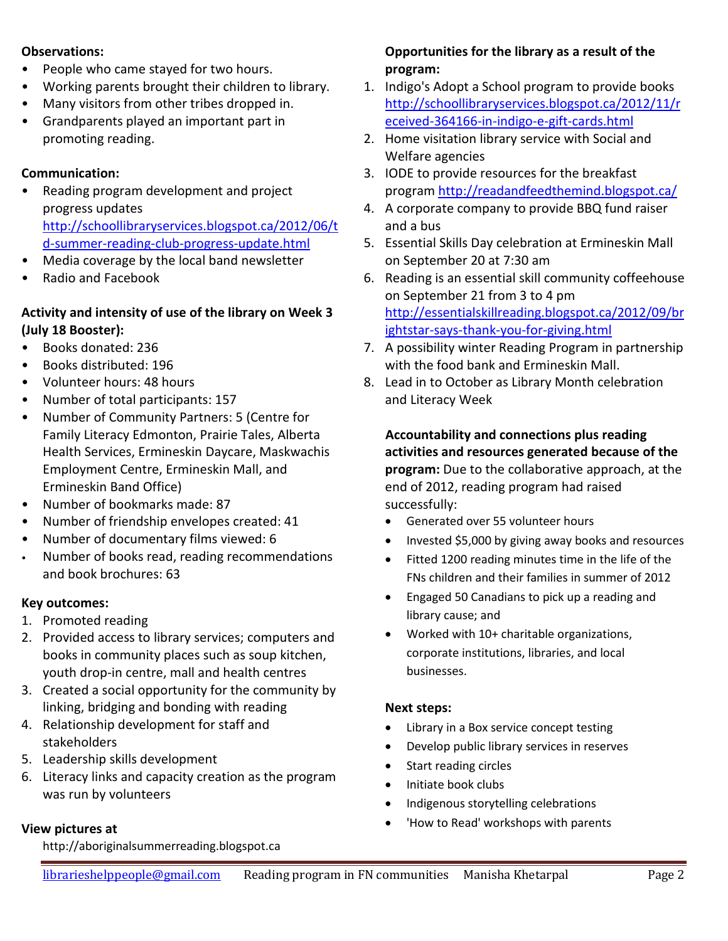#### **Observations:**

- People who came stayed for two hours.
- Working parents brought their children to library.
- Many visitors from other tribes dropped in.
- Grandparents played an important part in promoting reading.

## **Communication:**

- Reading program development and project progress updates [http://schoollibraryservices.blogspot.ca/2012/06/t](http://schoollibraryservices.blogspot.ca/2012/06/td-summer-reading-club-progress-update.html) [d-summer-reading-club-progress-update.html](http://schoollibraryservices.blogspot.ca/2012/06/td-summer-reading-club-progress-update.html)
- Media coverage by the local band newsletter
- Radio and Facebook

### **Activity and intensity of use of the library on Week 3 (July 18 Booster):**

- Books donated: 236
- Books distributed: 196
- Volunteer hours: 48 hours
- Number of total participants: 157
- Number of Community Partners: 5 (Centre for Family Literacy Edmonton, Prairie Tales, Alberta Health Services, Ermineskin Daycare, Maskwachis Employment Centre, Ermineskin Mall, and Ermineskin Band Office)
- Number of bookmarks made: 87
- Number of friendship envelopes created: 41
- Number of documentary films viewed: 6
- Number of books read, reading recommendations and book brochures: 63

## **Key outcomes:**

- 1. Promoted reading
- 2. Provided access to library services; computers and books in community places such as soup kitchen, youth drop-in centre, mall and health centres
- 3. Created a social opportunity for the community by linking, bridging and bonding with reading
- 4. Relationship development for staff and stakeholders
- 5. Leadership skills development
- 6. Literacy links and capacity creation as the program was run by volunteers

# **View pictures at**

http://aboriginalsummerreading.blogspot.ca

## **Opportunities for the library as a result of the program:**

- 1. Indigo's Adopt a School program to provide books [http://schoollibraryservices.blogspot.ca/2012/11/r](http://schoollibraryservices.blogspot.ca/2012/11/received-364166-in-indigo-e-gift-cards.html) [eceived-364166-in-indigo-e-gift-cards.html](http://schoollibraryservices.blogspot.ca/2012/11/received-364166-in-indigo-e-gift-cards.html)
- 2. Home visitation library service with Social and Welfare agencies
- 3. IODE to provide resources for the breakfast progra[m http://readandfeedthemind.blogspot.ca/](http://readandfeedthemind.blogspot.ca/)
- 4. A corporate company to provide BBQ fund raiser and a bus
- 5. Essential Skills Day celebration at Ermineskin Mall on September 20 at 7:30 am
- 6. Reading is an essential skill community coffeehouse on September 21 from 3 to 4 pm [http://essentialskillreading.blogspot.ca/2012/09/br](http://essentialskillreading.blogspot.ca/2012/09/brightstar-says-thank-you-for-giving.html) [ightstar-says-thank-you-for-giving.html](http://essentialskillreading.blogspot.ca/2012/09/brightstar-says-thank-you-for-giving.html)
- 7. A possibility winter Reading Program in partnership with the food bank and Ermineskin Mall.
- 8. Lead in to October as Library Month celebration and Literacy Week

 **Accountability and connections plus reading activities and resources generated because of the program:** Due to the collaborative approach, at the end of 2012, reading program had raised successfully:

- Generated over 55 volunteer hours
- Invested \$5,000 by giving away books and resources
- Fitted 1200 reading minutes time in the life of the FNs children and their families in summer of 2012
- Engaged 50 Canadians to pick up a reading and library cause; and
- Worked with 10+ charitable organizations, corporate institutions, libraries, and local businesses.

## **Next steps:**

- Library in a Box service concept testing
- Develop public library services in reserves
- Start reading circles
- Initiate book clubs
- Indigenous storytelling celebrations
- 'How to Read' workshops with parents